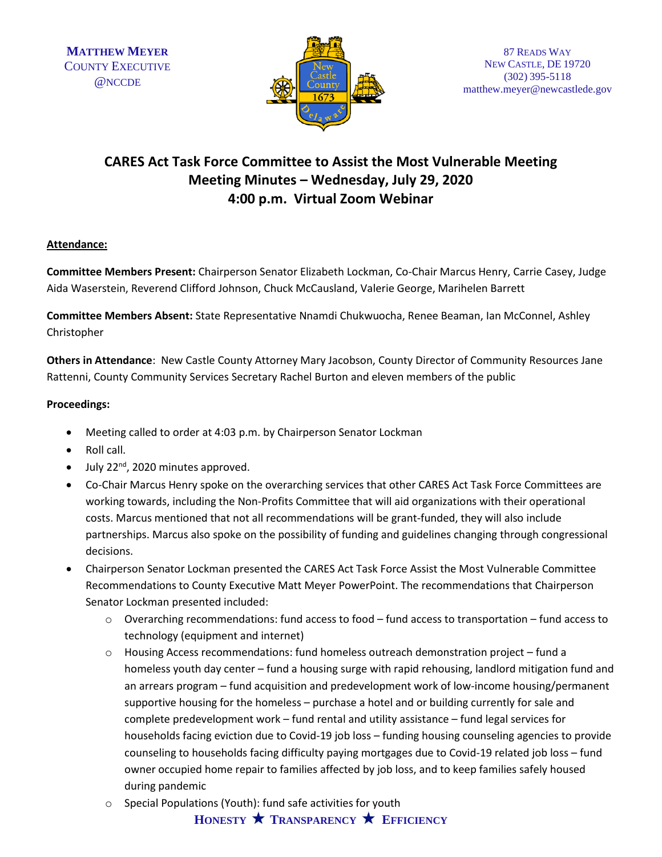

# **CARES Act Task Force Committee to Assist the Most Vulnerable Meeting Meeting Minutes – Wednesday, July 29, 2020 4:00 p.m. Virtual Zoom Webinar**

# **Attendance:**

**Committee Members Present:** Chairperson Senator Elizabeth Lockman, Co-Chair Marcus Henry, Carrie Casey, Judge Aida Waserstein, Reverend Clifford Johnson, Chuck McCausland, Valerie George, Marihelen Barrett

**Committee Members Absent:** State Representative Nnamdi Chukwuocha, Renee Beaman, Ian McConnel, Ashley Christopher

**Others in Attendance**: New Castle County Attorney Mary Jacobson, County Director of Community Resources Jane Rattenni, County Community Services Secretary Rachel Burton and eleven members of the public

### **Proceedings:**

- Meeting called to order at 4:03 p.m. by Chairperson Senator Lockman
- Roll call.
- July  $22^{nd}$ , 2020 minutes approved.
- Co-Chair Marcus Henry spoke on the overarching services that other CARES Act Task Force Committees are working towards, including the Non-Profits Committee that will aid organizations with their operational costs. Marcus mentioned that not all recommendations will be grant-funded, they will also include partnerships. Marcus also spoke on the possibility of funding and guidelines changing through congressional decisions.
- Chairperson Senator Lockman presented the CARES Act Task Force Assist the Most Vulnerable Committee Recommendations to County Executive Matt Meyer PowerPoint. The recommendations that Chairperson Senator Lockman presented included:
	- $\circ$  Overarching recommendations: fund access to food fund access to transportation fund access to technology (equipment and internet)
	- o Housing Access recommendations: fund homeless outreach demonstration project fund a homeless youth day center – fund a housing surge with rapid rehousing, landlord mitigation fund and an arrears program – fund acquisition and predevelopment work of low-income housing/permanent supportive housing for the homeless – purchase a hotel and or building currently for sale and complete predevelopment work – fund rental and utility assistance – fund legal services for households facing eviction due to Covid-19 job loss – funding housing counseling agencies to provide counseling to households facing difficulty paying mortgages due to Covid-19 related job loss – fund owner occupied home repair to families affected by job loss, and to keep families safely housed during pandemic
	- o Special Populations (Youth): fund safe activities for youth